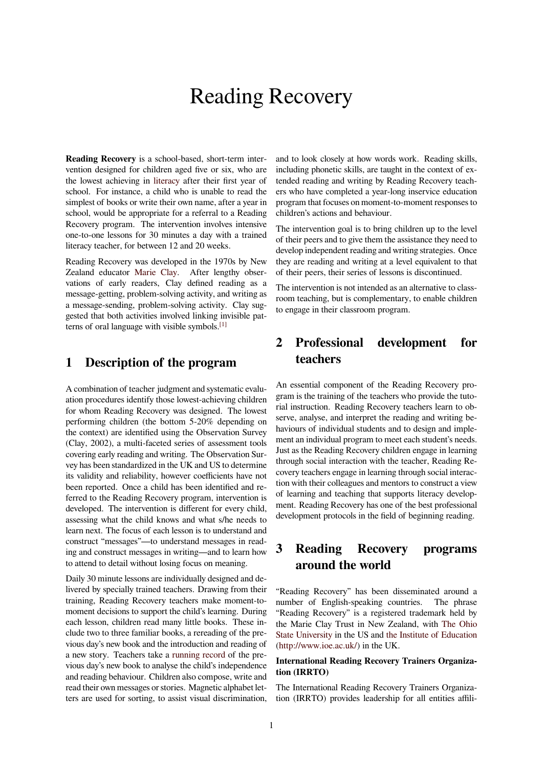# Reading Recovery

**Reading Recovery** is a school-based, short-term intervention designed for children aged five or six, who are the lowest achieving in literacy after their first year of school. For instance, a child who is unable to read the simplest of books or write their own name, after a year in school, would be appropriate for a referral to a Reading Recovery program. Th[e interve](https://en.wikipedia.org/wiki/Literacy)ntion involves intensive one-to-one lessons for 30 minutes a day with a trained literacy teacher, for between 12 and 20 weeks.

Reading Recovery was developed in the 1970s by New Zealand educator Marie Clay. After lengthy observations of early readers, Clay defined reading as a message-getting, problem-solving activity, and writing as a message-sending, problem-solving activity. Clay suggested that both ac[tivities invol](https://en.wikipedia.org/wiki/Marie_Clay)ved linking invisible patterns of oral language with visible symbols.[1]

### **1 Description of the progr[am](https://en.wikipedia.org/wiki/Reading_Recovery#cite_note-1)**

A combination of teacher judgment and systematic evaluation procedures identify those lowest-achieving children for whom Reading Recovery was designed. The lowest performing children (the bottom 5-20% depending on the context) are identified using the Observation Survey (Clay, 2002), a multi-faceted series of assessment tools covering early reading and writing. The Observation Survey has been standardized in the UK and US to determine its validity and reliability, however coefficients have not been reported. Once a child has been identified and referred to the Reading Recovery program, intervention is developed. The intervention is different for every child, assessing what the child knows and what s/he needs to learn next. The focus of each lesson is to understand and construct "messages"—to understand messages in reading and construct messages in writing—and to learn how to attend to detail without losing focus on meaning.

Daily 30 minute lessons are individually designed and delivered by specially trained teachers. Drawing from their training, Reading Recovery teachers make moment-tomoment decisions to support the child's learning. During each lesson, children read many little books. These include two to three familiar books, a rereading of the previous day's new book and the introduction and reading of a new story. Teachers take a running record of the previous day's new book to analyse the child's independence and reading behaviour. Children also compose, write and read their own messages or stories. Magnetic alphabet letters are used for sorting, toa[ssist visual disc](https://en.wikipedia.org/wiki/Running_record)rimination,

and to look closely at how words work. Reading skills, including phonetic skills, are taught in the context of extended reading and writing by Reading Recovery teachers who have completed a year-long inservice education program that focuses on moment-to-moment responses to children's actions and behaviour.

The intervention goal is to bring children up to the level of their peers and to give them the assistance they need to develop independent reading and writing strategies. Once they are reading and writing at a level equivalent to that of their peers, their series of lessons is discontinued.

The intervention is not intended as an alternative to classroom teaching, but is complementary, to enable children to engage in their classroom program.

# **2 Professional development for teachers**

An essential component of the Reading Recovery program is the training of the teachers who provide the tutorial instruction. Reading Recovery teachers learn to observe, analyse, and interpret the reading and writing behaviours of individual students and to design and implement an individual program to meet each student's needs. Just as the Reading Recovery children engage in learning through social interaction with the teacher, Reading Recovery teachers engage in learning through social interaction with their colleagues and mentors to construct a view of learning and teaching that supports literacy development. Reading Recovery has one of the best professional development protocols in the field of beginning reading.

# **3 Reading Recovery programs around the world**

"Reading Recovery" has been disseminated around a number of English-speaking countries. The phrase "Reading Recovery" is a registered trademark held by the Marie Clay Trust in New Zealand, with The Ohio State University in the US and the Institute of Education (http://www.ioe.ac.uk/) in the UK.

### **International Reading Recovery Trainers [Organiza](https://en.wikipedia.org/wiki/The_Ohio_State_University)[tion \(IRRTO\)](https://en.wikipedia.org/wiki/The_Ohio_State_University)**

[The International Read](http://www.ioe.ac.uk/)ing Re[covery Trainers Organiza](https://en.wikipedia.org/wiki/Institute_of_Education)tion (IRRTO) provides leadership for all entities affili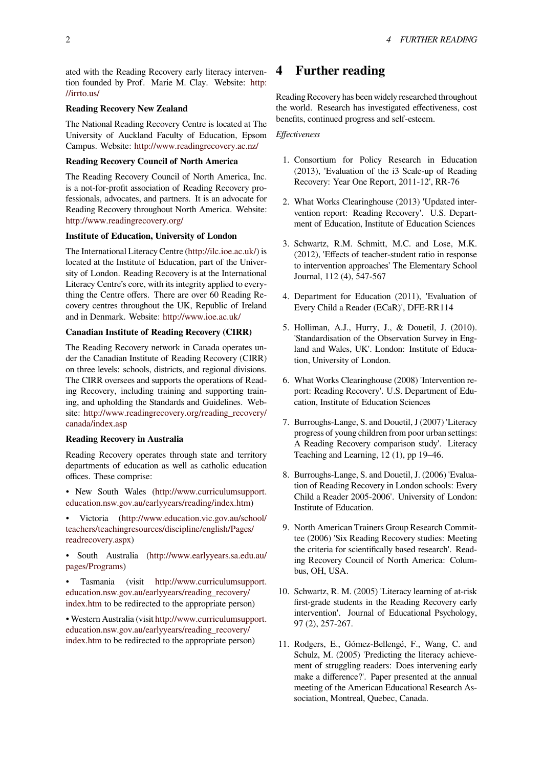ated with the Reading Recovery early literacy intervention founded by Prof. Marie M. Clay. Website: http: //irrto.us/

### **Reading Recovery New Zealand**

The National Reading Recovery Centre is located at [The](http://irrto.us/) [University](http://irrto.us/) of Auckland Faculty of Education, Epsom Campus. Website: http://www.readingrecovery.ac.nz/

#### **Reading Recovery Council of North America**

The Reading Recovery Council of North America, Inc. is a not-for-profit [association of Reading Recovery pr](http://www.readingrecovery.ac.nz/)ofessionals, advocates, and partners. It is an advocate for Reading Recovery throughout North America. Website: http://www.readingrecovery.org/

### **Institute of Education, University of London**

The International Literacy Centre (http://ilc.ioe.ac.uk/) is [located at the Institute of Educati](http://www.readingrecovery.org/)on, part of the University of London. Reading Recovery is at the International Literacy Centre's core, with its integrity applied to everything the Centre offers. There ar[e over 60 Reading R](http://ilc.ioe.ac.uk/)ecovery centres throughout the UK, Republic of Ireland and in Denmark. Website: http://www.ioe.ac.uk/

### **Canadian Institute of Reading Recovery (CIRR)**

The Reading Recovery network in Canada operates under the Canadian Institute [of Reading Recovery \(](http://www.ioe.ac.uk/)CIRR) on three levels: schools, districts, and regional divisions. The CIRR oversees and supports the operations of Reading Recovery, including training and supporting training, and upholding the Standards and Guidelines. Website: http://www.readingrecovery.org/reading\_recovery/ canada/index.asp

### **Reading Recovery in Australia**

Rea[ding Recovery operates through state and territory](http://www.readingrecovery.org/reading_recovery/canada/index.asp) [departments of e](http://www.readingrecovery.org/reading_recovery/canada/index.asp)ducation as well as catholic education offices. These comprise:

- New South Wales (http://www.curriculumsupport. education.nsw.gov.au/earlyyears/reading/index.htm)
- Victoria (http://www.education.vic.gov.au/school/ teachers/teachingresourc[es/discipline/english/Pages/](http://www.curriculumsupport.education.nsw.gov.au/earlyyears/reading/index.htm) readrecovery.aspx)
- [South Aust](http://www.curriculumsupport.education.nsw.gov.au/earlyyears/reading/index.htm)[ralia \(http://www.earlyyears.sa.edu.au/](http://www.education.vic.gov.au/school/teachers/teachingresources/discipline/english/Pages/readrecovery.aspx) pages/Programs)

[• Tasmania \(v](http://www.education.vic.gov.au/school/teachers/teachingresources/discipline/english/Pages/readrecovery.aspx)isit [http://www.curriculumsupp](http://www.education.vic.gov.au/school/teachers/teachingresources/discipline/english/Pages/readrecovery.aspx)ort. education.nsw.gov.au/earlyyears/reading\_recovery/ index.htm to be redire[cted to the appropriate person\)](http://www.earlyyears.sa.edu.au/pages/Programs)

[• Western Austra](http://www.earlyyears.sa.edu.au/pages/Programs)lia (visit http://www.curriculumsupport. education.nsw.gov.au/ea[rlyyears/reading\\_recovery/](http://www.curriculumsupport.education.nsw.gov.au/earlyyears/reading_recovery/index.htm) [index.htm](http://www.curriculumsupport.education.nsw.gov.au/earlyyears/reading_recovery/index.htm) [to be redirected to the appropriate person](http://www.curriculumsupport.education.nsw.gov.au/earlyyears/reading_recovery/index.htm))

### **4 Further reading**

Reading Recovery has been widely researched throughout the world. Research has investigated effectiveness, cost benefits, continued progress and self-esteem.

*Effectiveness*

- 1. Consortium for Policy Research in Education (2013), 'Evaluation of the i3 Scale-up of Reading Recovery: Year One Report, 2011-12', RR-76
- 2. What Works Clearinghouse (2013) 'Updated intervention report: Reading Recovery'. U.S. Department of Education, Institute of Education Sciences
- 3. Schwartz, R.M. Schmitt, M.C. and Lose, M.K. (2012), 'Effects of teacher-student ratio in response to intervention approaches' The Elementary School Journal, 112 (4), 547-567
- 4. Department for Education (2011), 'Evaluation of Every Child a Reader (ECaR)', DFE-RR114
- 5. Holliman, A.J., Hurry, J., & Douetil, J. (2010). 'Standardisation of the Observation Survey in England and Wales, UK'. London: Institute of Education, University of London.
- 6. What Works Clearinghouse (2008) 'Intervention report: Reading Recovery'. U.S. Department of Education, Institute of Education Sciences
- 7. Burroughs-Lange, S. and Douetil, J (2007) 'Literacy progress of young children from poor urban settings: A Reading Recovery comparison study'. Literacy Teaching and Learning, 12 (1), pp 19–46.
- 8. Burroughs-Lange, S. and Douetil, J. (2006) 'Evaluation of Reading Recovery in London schools: Every Child a Reader 2005-2006'. University of London: Institute of Education.
- 9. North American Trainers Group Research Committee (2006) 'Six Reading Recovery studies: Meeting the criteria for scientifically based research'. Reading Recovery Council of North America: Columbus, OH, USA.
- 10. Schwartz, R. M. (2005) 'Literacy learning of at-risk first-grade students in the Reading Recovery early intervention'. Journal of Educational Psychology, 97 (2), 257-267.
- 11. Rodgers, E., Gómez-Bellengé, F., Wang, C. and Schulz, M. (2005) 'Predicting the literacy achievement of struggling readers: Does intervening early make a difference?'. Paper presented at the annual meeting of the American Educational Research Association, Montreal, Quebec, Canada.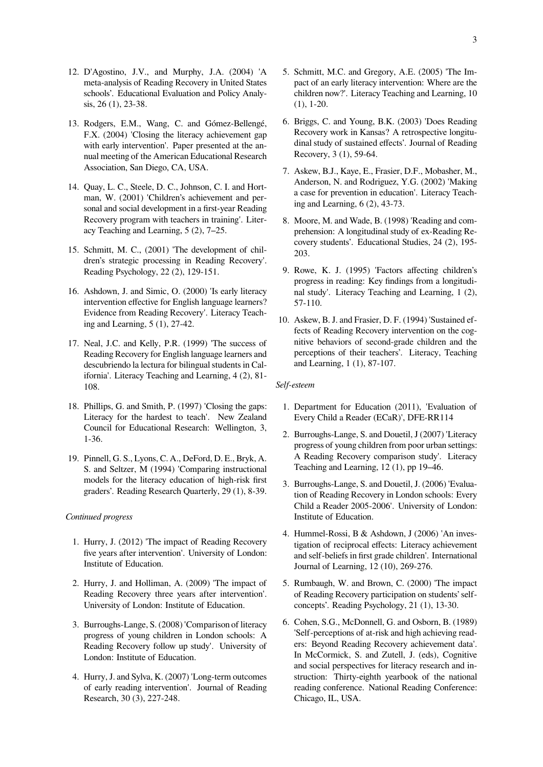- 12. D'Agostino, J.V., and Murphy, J.A. (2004) 'A meta-analysis of Reading Recovery in United States schools'. Educational Evaluation and Policy Analysis, 26 (1), 23-38.
- 13. Rodgers, E.M., Wang, C. and Gómez-Bellengé, F.X. (2004) 'Closing the literacy achievement gap with early intervention'. Paper presented at the annual meeting of the American Educational Research Association, San Diego, CA, USA.
- 14. Quay, L. C., Steele, D. C., Johnson, C. I. and Hortman, W. (2001) 'Children's achievement and personal and social development in a first-year Reading Recovery program with teachers in training'. Literacy Teaching and Learning, 5 (2), 7–25.
- 15. Schmitt, M. C., (2001) 'The development of children's strategic processing in Reading Recovery'. Reading Psychology, 22 (2), 129-151.
- 16. Ashdown, J. and Simic, O. (2000) 'Is early literacy intervention effective for English language learners? Evidence from Reading Recovery'. Literacy Teaching and Learning, 5 (1), 27-42.
- 17. Neal, J.C. and Kelly, P.R. (1999) 'The success of Reading Recovery for English language learners and descubriendo la lectura for bilingual students in California'. Literacy Teaching and Learning, 4 (2), 81- 108.
- 18. Phillips, G. and Smith, P. (1997) 'Closing the gaps: Literacy for the hardest to teach'. New Zealand Council for Educational Research: Wellington, 3, 1-36.
- 19. Pinnell, G. S., Lyons, C. A., DeFord, D. E., Bryk, A. S. and Seltzer, M (1994) 'Comparing instructional models for the literacy education of high-risk first graders'. Reading Research Quarterly, 29 (1), 8-39.

#### *Continued progress*

- 1. Hurry, J. (2012) 'The impact of Reading Recovery five years after intervention'. University of London: Institute of Education.
- 2. Hurry, J. and Holliman, A. (2009) 'The impact of Reading Recovery three years after intervention'. University of London: Institute of Education.
- 3. Burroughs-Lange, S. (2008) 'Comparison of literacy progress of young children in London schools: A Reading Recovery follow up study'. University of London: Institute of Education.
- 4. Hurry, J. and Sylva, K. (2007) 'Long-term outcomes of early reading intervention'. Journal of Reading Research, 30 (3), 227-248.
- 5. Schmitt, M.C. and Gregory, A.E. (2005) 'The Impact of an early literacy intervention: Where are the children now?'. Literacy Teaching and Learning, 10 (1), 1-20.
- 6. Briggs, C. and Young, B.K. (2003) 'Does Reading Recovery work in Kansas? A retrospective longitudinal study of sustained effects'. Journal of Reading Recovery, 3 (1), 59-64.
- 7. Askew, B.J., Kaye, E., Frasier, D.F., Mobasher, M., Anderson, N. and Rodriguez, Y.G. (2002) 'Making a case for prevention in education'. Literacy Teaching and Learning, 6 (2), 43-73.
- 8. Moore, M. and Wade, B. (1998) 'Reading and comprehension: A longitudinal study of ex-Reading Recovery students'. Educational Studies, 24 (2), 195- 203.
- 9. Rowe, K. J. (1995) 'Factors affecting children's progress in reading: Key findings from a longitudinal study'. Literacy Teaching and Learning, 1 (2), 57-110.
- 10. Askew, B. J. and Frasier, D. F. (1994) 'Sustained effects of Reading Recovery intervention on the cognitive behaviors of second-grade children and the perceptions of their teachers'. Literacy, Teaching and Learning, 1 (1), 87-107.

#### *Self-esteem*

- 1. Department for Education (2011), 'Evaluation of Every Child a Reader (ECaR)', DFE-RR114
- 2. Burroughs-Lange, S. and Douetil, J (2007) 'Literacy progress of young children from poor urban settings: A Reading Recovery comparison study'. Literacy Teaching and Learning, 12 (1), pp 19–46.
- 3. Burroughs-Lange, S. and Douetil, J. (2006) 'Evaluation of Reading Recovery in London schools: Every Child a Reader 2005-2006'. University of London: Institute of Education.
- 4. Hummel-Rossi, B & Ashdown, J (2006) 'An investigation of reciprocal effects: Literacy achievement and self-beliefs in first grade children'. International Journal of Learning, 12 (10), 269-276.
- 5. Rumbaugh, W. and Brown, C. (2000) 'The impact of Reading Recovery participation on students' selfconcepts'. Reading Psychology, 21 (1), 13-30.
- 6. Cohen, S.G., McDonnell, G. and Osborn, B. (1989) 'Self-perceptions of at-risk and high achieving readers: Beyond Reading Recovery achievement data'. In McCormick, S. and Zutell, J. (eds), Cognitive and social perspectives for literacy research and instruction: Thirty-eighth yearbook of the national reading conference. National Reading Conference: Chicago, IL, USA.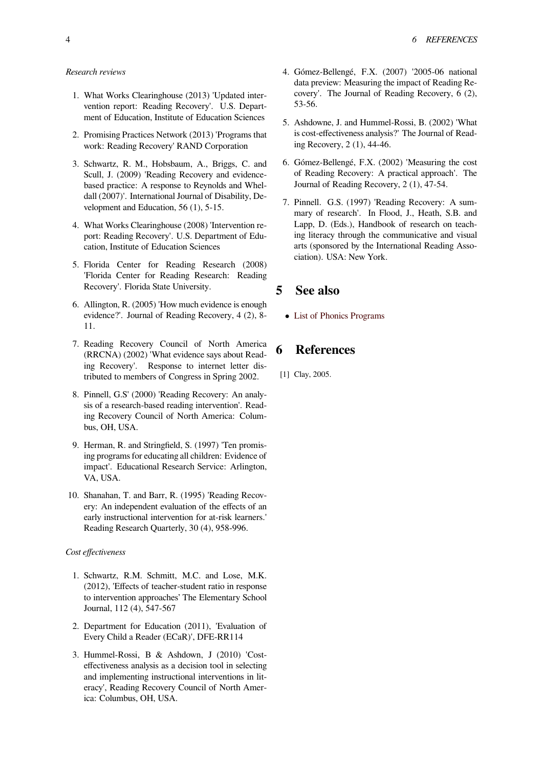- 1. What Works Clearinghouse (2013) 'Updated intervention report: Reading Recovery'. U.S. Department of Education, Institute of Education Sciences
- 2. Promising Practices Network (2013) 'Programs that work: Reading Recovery' RAND Corporation
- 3. Schwartz, R. M., Hobsbaum, A., Briggs, C. and Scull, J. (2009) 'Reading Recovery and evidencebased practice: A response to Reynolds and Wheldall (2007)'. International Journal of Disability, Development and Education, 56 (1), 5-15.
- 4. What Works Clearinghouse (2008) 'Intervention report: Reading Recovery'. U.S. Department of Education, Institute of Education Sciences
- 5. Florida Center for Reading Research (2008) 'Florida Center for Reading Research: Reading Recovery'. Florida State University.
- 6. Allington, R. (2005) 'How much evidence is enough evidence?'. Journal of Reading Recovery, 4 (2), 8- 11.
- 7. Reading Recovery Council of North America (RRCNA) (2002) 'What evidence says about Reading Recovery'. Response to internet letter distributed to members of Congress in Spring 2002.
- 8. Pinnell, G.S' (2000) 'Reading Recovery: An analysis of a research-based reading intervention'. Reading Recovery Council of North America: Columbus, OH, USA.
- 9. Herman, R. and Stringfield, S. (1997) 'Ten promising programs for educating all children: Evidence of impact'. Educational Research Service: Arlington, VA, USA.
- 10. Shanahan, T. and Barr, R. (1995) 'Reading Recovery: An independent evaluation of the effects of an early instructional intervention for at-risk learners.' Reading Research Quarterly, 30 (4), 958-996.

#### *Cost effectiveness*

- 1. Schwartz, R.M. Schmitt, M.C. and Lose, M.K. (2012), 'Effects of teacher-student ratio in response to intervention approaches' The Elementary School Journal, 112 (4), 547-567
- 2. Department for Education (2011), 'Evaluation of Every Child a Reader (ECaR)', DFE-RR114
- 3. Hummel-Rossi, B & Ashdown, J (2010) 'Costeffectiveness analysis as a decision tool in selecting and implementing instructional interventions in literacy', Reading Recovery Council of North America: Columbus, OH, USA.
- 4. Gómez-Bellengé, F.X. (2007) '2005-06 national data preview: Measuring the impact of Reading Recovery'. The Journal of Reading Recovery, 6 (2), 53-56.
- 5. Ashdowne, J. and Hummel-Rossi, B. (2002) 'What is cost-effectiveness analysis?' The Journal of Reading Recovery, 2 (1), 44-46.
- 6. Gómez-Bellengé, F.X. (2002) 'Measuring the cost of Reading Recovery: A practical approach'. The Journal of Reading Recovery, 2 (1), 47-54.
- 7. Pinnell. G.S. (1997) 'Reading Recovery: A summary of research'. In Flood, J., Heath, S.B. and Lapp, D. (Eds.), Handbook of research on teaching literacy through the communicative and visual arts (sponsored by the International Reading Association). USA: New York.

### **5 See also**

*•* List of Phonics Programs

# **6 [References](https://en.wikipedia.org/wiki/List_of_Phonics_Programs)**

[1] Clay, 2005.